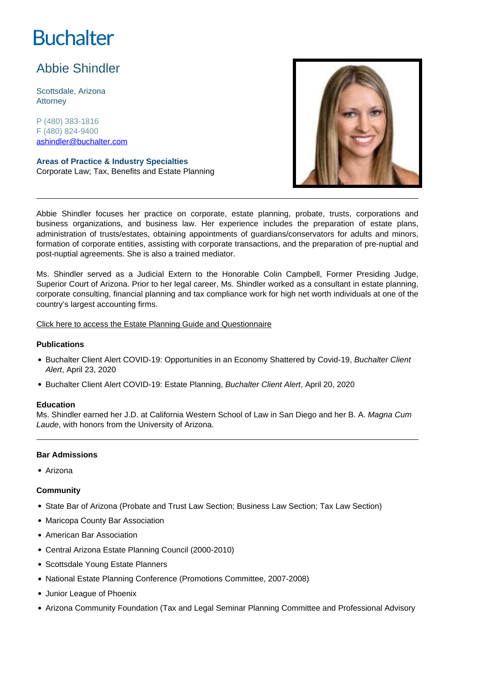# **Buchalter**

## Abbie Shindler

Scottsdale, Arizona **Attorney** 

P (480) 383-1816 F (480) 824-9400 ashindler@buchalter.com

**Areas of Practice & Industry Specialties** Corporate Law; Tax, Benefits and Estate Planning



Abbie Shindler focuses her practice on corporate, estate planning, probate, trusts, corporations and business organizations, and business law. Her experience includes the preparation of estate plans, administration of trusts/estates, obtaining appointments of guardians/conservators for adults and minors, formation of corporate entities, assisting with corporate transactions, and the preparation of pre-nuptial and post-nuptial agreements. She is also a trained mediator.

Ms. Shindler served as a Judicial Extern to the Honorable Colin Campbell, Former Presiding Judge, Superior Court of Arizona. Prior to her legal career, Ms. Shindler worked as a consultant in estate planning, corporate consulting, financial planning and tax compliance work for high net worth individuals at one of the country's largest accounting firms.

[Click here to access the Estate Planning Guide and Questionnaire](https://www.buchalter.com/wp-content/uploads/2022/05/2022-A.-Shindler-Estate-Planning-Guide-and-Questionnaire-fillable.pdf.pdf)

### **Publications**

- Buchalter Client Alert COVID-19: Opportunities in an Economy Shattered by Covid-19, Buchalter Client Alert, April 23, 2020
- Buchalter Client Alert COVID-19: Estate Planning, Buchalter Client Alert, April 20, 2020

### **Education**

Ms. Shindler earned her J.D. at California Western School of Law in San Diego and her B. A. Magna Cum Laude, with honors from the University of Arizona.

### **Bar Admissions**

Arizona

### **Community**

- State Bar of Arizona (Probate and Trust Law Section; Business Law Section; Tax Law Section)
- Maricopa County Bar Association
- American Bar Association
- Central Arizona Estate Planning Council (2000-2010)
- Scottsdale Young Estate Planners
- National Estate Planning Conference (Promotions Committee, 2007-2008)
- Junior League of Phoenix
- Arizona Community Foundation (Tax and Legal Seminar Planning Committee and Professional Advisory